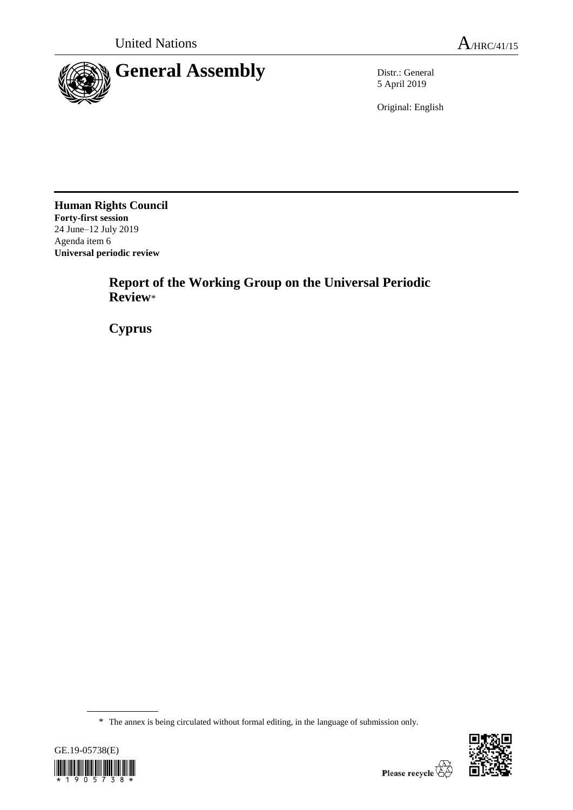

5 April 2019

Original: English

**Human Rights Council Forty-first session** 24 June–12 July 2019 Agenda item 6 **Universal periodic review**

> **Report of the Working Group on the Universal Periodic Review**\*

**Cyprus**

<sup>\*</sup> The annex is being circulated without formal editing, in the language of submission only.



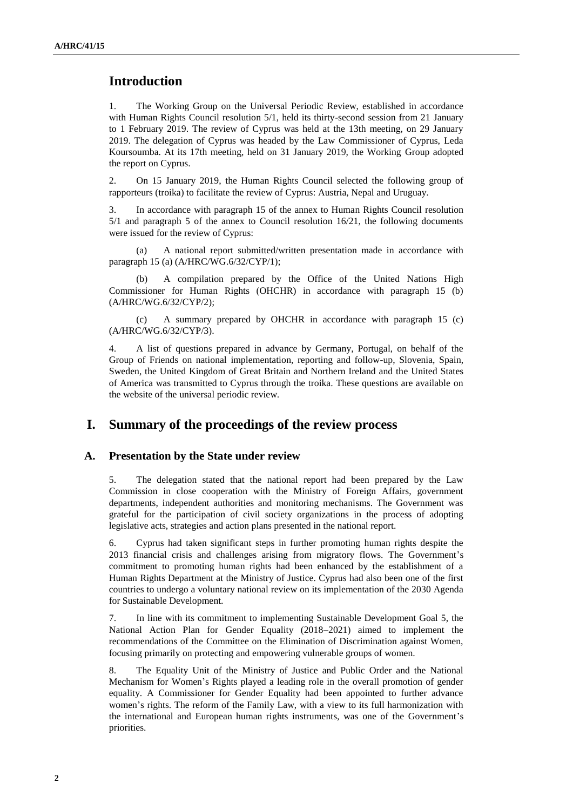# **Introduction**

1. The Working Group on the Universal Periodic Review, established in accordance with Human Rights Council resolution 5/1, held its thirty-second session from 21 January to 1 February 2019. The review of Cyprus was held at the 13th meeting, on 29 January 2019. The delegation of Cyprus was headed by the Law Commissioner of Cyprus, Leda Koursoumba. At its 17th meeting, held on 31 January 2019, the Working Group adopted the report on Cyprus.

2. On 15 January 2019, the Human Rights Council selected the following group of rapporteurs (troika) to facilitate the review of Cyprus: Austria, Nepal and Uruguay.

3. In accordance with paragraph 15 of the annex to Human Rights Council resolution 5/1 and paragraph 5 of the annex to Council resolution 16/21, the following documents were issued for the review of Cyprus:

(a) A national report submitted/written presentation made in accordance with paragraph 15 (a) (A/HRC/WG.6/32/CYP/1);

A compilation prepared by the Office of the United Nations High Commissioner for Human Rights (OHCHR) in accordance with paragraph 15 (b) (A/HRC/WG.6/32/CYP/2);

(c) A summary prepared by OHCHR in accordance with paragraph 15 (c) (A/HRC/WG.6/32/CYP/3).

4. A list of questions prepared in advance by Germany, Portugal, on behalf of the Group of Friends on national implementation, reporting and follow-up, Slovenia, Spain, Sweden, the United Kingdom of Great Britain and Northern Ireland and the United States of America was transmitted to Cyprus through the troika. These questions are available on the website of the universal periodic review.

# **I. Summary of the proceedings of the review process**

#### **A. Presentation by the State under review**

5. The delegation stated that the national report had been prepared by the Law Commission in close cooperation with the Ministry of Foreign Affairs, government departments, independent authorities and monitoring mechanisms. The Government was grateful for the participation of civil society organizations in the process of adopting legislative acts, strategies and action plans presented in the national report.

6. Cyprus had taken significant steps in further promoting human rights despite the 2013 financial crisis and challenges arising from migratory flows. The Government's commitment to promoting human rights had been enhanced by the establishment of a Human Rights Department at the Ministry of Justice. Cyprus had also been one of the first countries to undergo a voluntary national review on its implementation of the 2030 Agenda for Sustainable Development.

7. In line with its commitment to implementing Sustainable Development Goal 5, the National Action Plan for Gender Equality (2018–2021) aimed to implement the recommendations of the Committee on the Elimination of Discrimination against Women, focusing primarily on protecting and empowering vulnerable groups of women.

8. The Equality Unit of the Ministry of Justice and Public Order and the National Mechanism for Women's Rights played a leading role in the overall promotion of gender equality. A Commissioner for Gender Equality had been appointed to further advance women's rights. The reform of the Family Law, with a view to its full harmonization with the international and European human rights instruments, was one of the Government's priorities.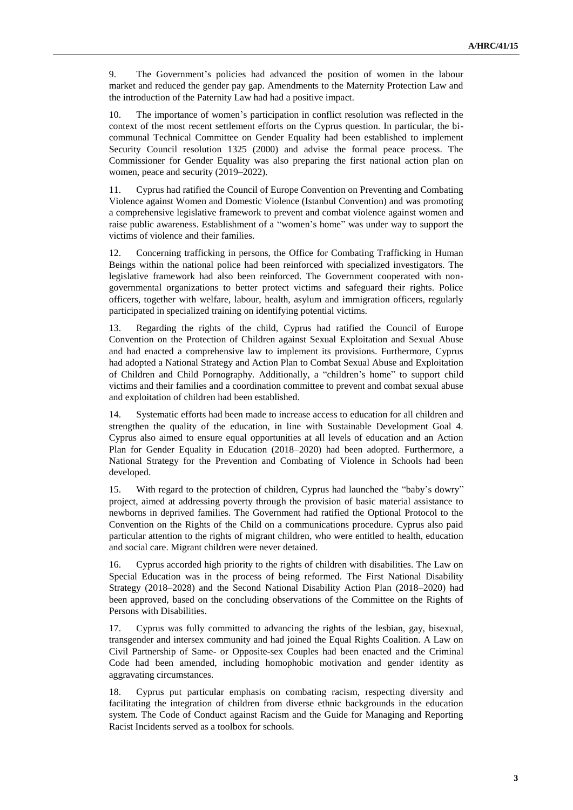9. The Government's policies had advanced the position of women in the labour market and reduced the gender pay gap. Amendments to the Maternity Protection Law and the introduction of the Paternity Law had had a positive impact.

10. The importance of women's participation in conflict resolution was reflected in the context of the most recent settlement efforts on the Cyprus question. In particular, the bicommunal Technical Committee on Gender Equality had been established to implement Security Council resolution 1325 (2000) and advise the formal peace process. The Commissioner for Gender Equality was also preparing the first national action plan on women, peace and security (2019–2022).

11. Cyprus had ratified the Council of Europe Convention on Preventing and Combating Violence against Women and Domestic Violence (Istanbul Convention) and was promoting a comprehensive legislative framework to prevent and combat violence against women and raise public awareness. Establishment of a "women's home" was under way to support the victims of violence and their families.

12. Concerning trafficking in persons, the Office for Combating Trafficking in Human Beings within the national police had been reinforced with specialized investigators. The legislative framework had also been reinforced. The Government cooperated with nongovernmental organizations to better protect victims and safeguard their rights. Police officers, together with welfare, labour, health, asylum and immigration officers, regularly participated in specialized training on identifying potential victims.

13. Regarding the rights of the child, Cyprus had ratified the Council of Europe Convention on the Protection of Children against Sexual Exploitation and Sexual Abuse and had enacted a comprehensive law to implement its provisions. Furthermore, Cyprus had adopted a National Strategy and Action Plan to Combat Sexual Abuse and Exploitation of Children and Child Pornography. Additionally, a "children's home" to support child victims and their families and a coordination committee to prevent and combat sexual abuse and exploitation of children had been established.

14. Systematic efforts had been made to increase access to education for all children and strengthen the quality of the education, in line with Sustainable Development Goal 4. Cyprus also aimed to ensure equal opportunities at all levels of education and an Action Plan for Gender Equality in Education (2018–2020) had been adopted. Furthermore, a National Strategy for the Prevention and Combating of Violence in Schools had been developed.

15. With regard to the protection of children, Cyprus had launched the "baby's dowry" project, aimed at addressing poverty through the provision of basic material assistance to newborns in deprived families. The Government had ratified the Optional Protocol to the Convention on the Rights of the Child on a communications procedure. Cyprus also paid particular attention to the rights of migrant children, who were entitled to health, education and social care. Migrant children were never detained.

16. Cyprus accorded high priority to the rights of children with disabilities. The Law on Special Education was in the process of being reformed. The First National Disability Strategy (2018–2028) and the Second National Disability Action Plan (2018–2020) had been approved, based on the concluding observations of the Committee on the Rights of Persons with Disabilities.

17. Cyprus was fully committed to advancing the rights of the lesbian, gay, bisexual, transgender and intersex community and had joined the Equal Rights Coalition. A Law on Civil Partnership of Same- or Opposite-sex Couples had been enacted and the Criminal Code had been amended, including homophobic motivation and gender identity as aggravating circumstances.

18. Cyprus put particular emphasis on combating racism, respecting diversity and facilitating the integration of children from diverse ethnic backgrounds in the education system. The Code of Conduct against Racism and the Guide for Managing and Reporting Racist Incidents served as a toolbox for schools.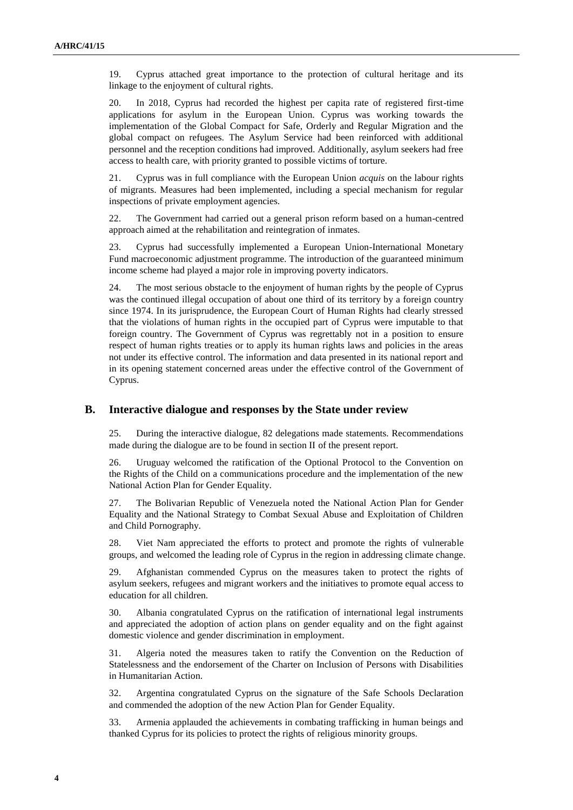19. Cyprus attached great importance to the protection of cultural heritage and its linkage to the enjoyment of cultural rights.

20. In 2018, Cyprus had recorded the highest per capita rate of registered first-time applications for asylum in the European Union. Cyprus was working towards the implementation of the Global Compact for Safe, Orderly and Regular Migration and the global compact on refugees. The Asylum Service had been reinforced with additional personnel and the reception conditions had improved. Additionally, asylum seekers had free access to health care, with priority granted to possible victims of torture.

21. Cyprus was in full compliance with the European Union *acquis* on the labour rights of migrants. Measures had been implemented, including a special mechanism for regular inspections of private employment agencies.

22. The Government had carried out a general prison reform based on a human-centred approach aimed at the rehabilitation and reintegration of inmates.

23. Cyprus had successfully implemented a European Union-International Monetary Fund macroeconomic adjustment programme. The introduction of the guaranteed minimum income scheme had played a major role in improving poverty indicators.

24. The most serious obstacle to the enjoyment of human rights by the people of Cyprus was the continued illegal occupation of about one third of its territory by a foreign country since 1974. In its jurisprudence, the European Court of Human Rights had clearly stressed that the violations of human rights in the occupied part of Cyprus were imputable to that foreign country. The Government of Cyprus was regrettably not in a position to ensure respect of human rights treaties or to apply its human rights laws and policies in the areas not under its effective control. The information and data presented in its national report and in its opening statement concerned areas under the effective control of the Government of Cyprus.

#### **B. Interactive dialogue and responses by the State under review**

25. During the interactive dialogue, 82 delegations made statements. Recommendations made during the dialogue are to be found in section II of the present report.

26. Uruguay welcomed the ratification of the Optional Protocol to the Convention on the Rights of the Child on a communications procedure and the implementation of the new National Action Plan for Gender Equality.

27. The Bolivarian Republic of Venezuela noted the National Action Plan for Gender Equality and the National Strategy to Combat Sexual Abuse and Exploitation of Children and Child Pornography.

28. Viet Nam appreciated the efforts to protect and promote the rights of vulnerable groups, and welcomed the leading role of Cyprus in the region in addressing climate change.

29. Afghanistan commended Cyprus on the measures taken to protect the rights of asylum seekers, refugees and migrant workers and the initiatives to promote equal access to education for all children.

30. Albania congratulated Cyprus on the ratification of international legal instruments and appreciated the adoption of action plans on gender equality and on the fight against domestic violence and gender discrimination in employment.

31. Algeria noted the measures taken to ratify the Convention on the Reduction of Statelessness and the endorsement of the Charter on Inclusion of Persons with Disabilities in Humanitarian Action.

32. Argentina congratulated Cyprus on the signature of the Safe Schools Declaration and commended the adoption of the new Action Plan for Gender Equality.

33. Armenia applauded the achievements in combating trafficking in human beings and thanked Cyprus for its policies to protect the rights of religious minority groups.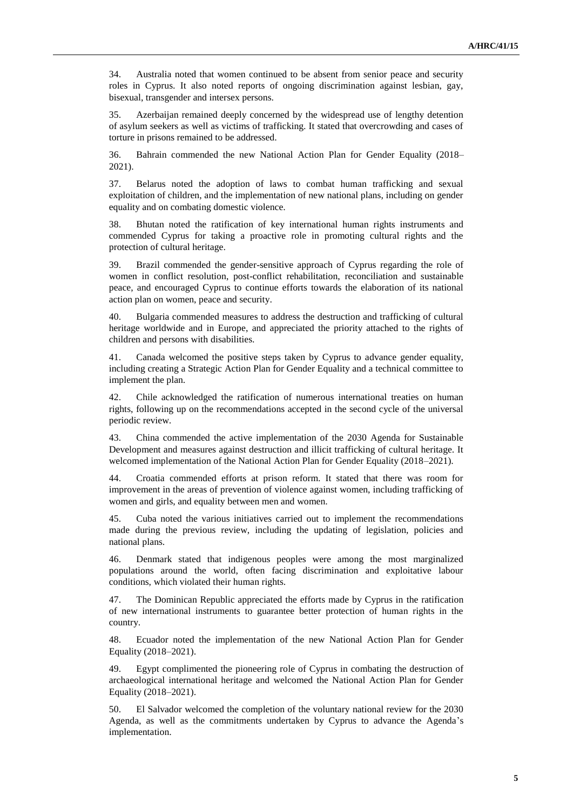34. Australia noted that women continued to be absent from senior peace and security roles in Cyprus. It also noted reports of ongoing discrimination against lesbian, gay, bisexual, transgender and intersex persons.

35. Azerbaijan remained deeply concerned by the widespread use of lengthy detention of asylum seekers as well as victims of trafficking. It stated that overcrowding and cases of torture in prisons remained to be addressed.

36. Bahrain commended the new National Action Plan for Gender Equality (2018– 2021).

37. Belarus noted the adoption of laws to combat human trafficking and sexual exploitation of children, and the implementation of new national plans, including on gender equality and on combating domestic violence.

38. Bhutan noted the ratification of key international human rights instruments and commended Cyprus for taking a proactive role in promoting cultural rights and the protection of cultural heritage.

39. Brazil commended the gender-sensitive approach of Cyprus regarding the role of women in conflict resolution, post-conflict rehabilitation, reconciliation and sustainable peace, and encouraged Cyprus to continue efforts towards the elaboration of its national action plan on women, peace and security.

40. Bulgaria commended measures to address the destruction and trafficking of cultural heritage worldwide and in Europe, and appreciated the priority attached to the rights of children and persons with disabilities.

41. Canada welcomed the positive steps taken by Cyprus to advance gender equality, including creating a Strategic Action Plan for Gender Equality and a technical committee to implement the plan.

42. Chile acknowledged the ratification of numerous international treaties on human rights, following up on the recommendations accepted in the second cycle of the universal periodic review.

43. China commended the active implementation of the 2030 Agenda for Sustainable Development and measures against destruction and illicit trafficking of cultural heritage. It welcomed implementation of the National Action Plan for Gender Equality (2018–2021).

44. Croatia commended efforts at prison reform. It stated that there was room for improvement in the areas of prevention of violence against women, including trafficking of women and girls, and equality between men and women.

45. Cuba noted the various initiatives carried out to implement the recommendations made during the previous review, including the updating of legislation, policies and national plans.

46. Denmark stated that indigenous peoples were among the most marginalized populations around the world, often facing discrimination and exploitative labour conditions, which violated their human rights.

47. The Dominican Republic appreciated the efforts made by Cyprus in the ratification of new international instruments to guarantee better protection of human rights in the country.

48. Ecuador noted the implementation of the new National Action Plan for Gender Equality (2018–2021).

49. Egypt complimented the pioneering role of Cyprus in combating the destruction of archaeological international heritage and welcomed the National Action Plan for Gender Equality (2018–2021).

50. El Salvador welcomed the completion of the voluntary national review for the 2030 Agenda, as well as the commitments undertaken by Cyprus to advance the Agenda's implementation.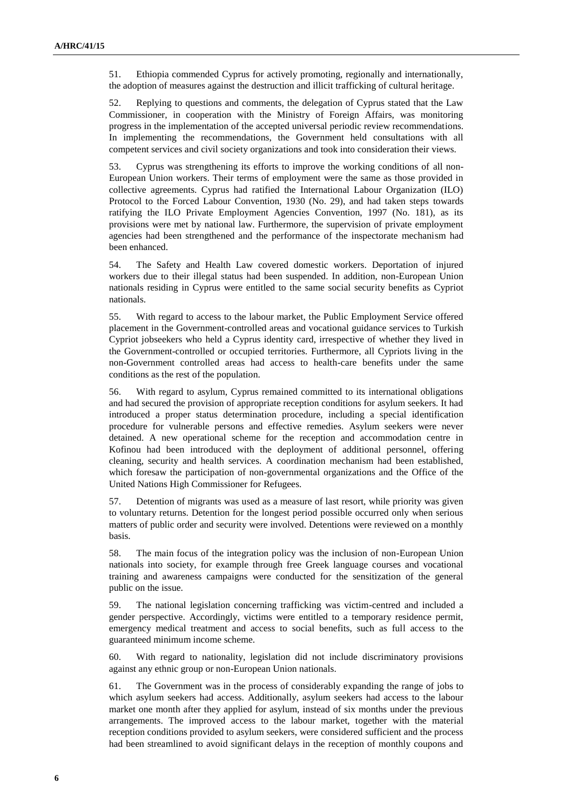51. Ethiopia commended Cyprus for actively promoting, regionally and internationally, the adoption of measures against the destruction and illicit trafficking of cultural heritage.

52. Replying to questions and comments, the delegation of Cyprus stated that the Law Commissioner, in cooperation with the Ministry of Foreign Affairs, was monitoring progress in the implementation of the accepted universal periodic review recommendations. In implementing the recommendations, the Government held consultations with all competent services and civil society organizations and took into consideration their views.

53. Cyprus was strengthening its efforts to improve the working conditions of all non-European Union workers. Their terms of employment were the same as those provided in collective agreements. Cyprus had ratified the International Labour Organization (ILO) Protocol to the Forced Labour Convention, 1930 (No. 29), and had taken steps towards ratifying the ILO Private Employment Agencies Convention, 1997 (No. 181), as its provisions were met by national law. Furthermore, the supervision of private employment agencies had been strengthened and the performance of the inspectorate mechanism had been enhanced.

54. The Safety and Health Law covered domestic workers. Deportation of injured workers due to their illegal status had been suspended. In addition, non-European Union nationals residing in Cyprus were entitled to the same social security benefits as Cypriot nationals.

55. With regard to access to the labour market, the Public Employment Service offered placement in the Government-controlled areas and vocational guidance services to Turkish Cypriot jobseekers who held a Cyprus identity card, irrespective of whether they lived in the Government-controlled or occupied territories. Furthermore, all Cypriots living in the non-Government controlled areas had access to health-care benefits under the same conditions as the rest of the population.

56. With regard to asylum, Cyprus remained committed to its international obligations and had secured the provision of appropriate reception conditions for asylum seekers. It had introduced a proper status determination procedure, including a special identification procedure for vulnerable persons and effective remedies. Asylum seekers were never detained. A new operational scheme for the reception and accommodation centre in Kofinou had been introduced with the deployment of additional personnel, offering cleaning, security and health services. A coordination mechanism had been established, which foresaw the participation of non-governmental organizations and the Office of the United Nations High Commissioner for Refugees.

57. Detention of migrants was used as a measure of last resort, while priority was given to voluntary returns. Detention for the longest period possible occurred only when serious matters of public order and security were involved. Detentions were reviewed on a monthly basis.

58. The main focus of the integration policy was the inclusion of non-European Union nationals into society, for example through free Greek language courses and vocational training and awareness campaigns were conducted for the sensitization of the general public on the issue.

59. The national legislation concerning trafficking was victim-centred and included a gender perspective. Accordingly, victims were entitled to a temporary residence permit, emergency medical treatment and access to social benefits, such as full access to the guaranteed minimum income scheme.

60. With regard to nationality, legislation did not include discriminatory provisions against any ethnic group or non-European Union nationals.

61. The Government was in the process of considerably expanding the range of jobs to which asylum seekers had access. Additionally, asylum seekers had access to the labour market one month after they applied for asylum, instead of six months under the previous arrangements. The improved access to the labour market, together with the material reception conditions provided to asylum seekers, were considered sufficient and the process had been streamlined to avoid significant delays in the reception of monthly coupons and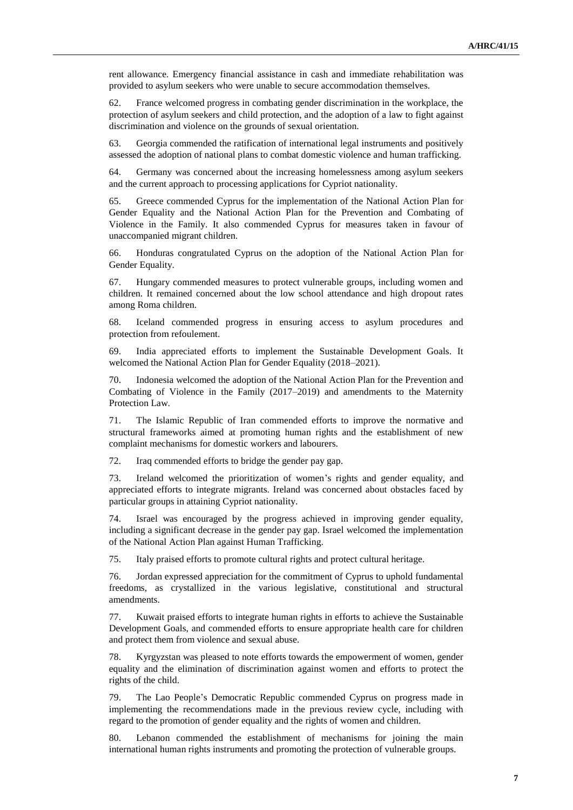rent allowance. Emergency financial assistance in cash and immediate rehabilitation was provided to asylum seekers who were unable to secure accommodation themselves.

62. France welcomed progress in combating gender discrimination in the workplace, the protection of asylum seekers and child protection, and the adoption of a law to fight against discrimination and violence on the grounds of sexual orientation.

63. Georgia commended the ratification of international legal instruments and positively assessed the adoption of national plans to combat domestic violence and human trafficking.

64. Germany was concerned about the increasing homelessness among asylum seekers and the current approach to processing applications for Cypriot nationality.

65. Greece commended Cyprus for the implementation of the National Action Plan for Gender Equality and the National Action Plan for the Prevention and Combating of Violence in the Family. It also commended Cyprus for measures taken in favour of unaccompanied migrant children.

66. Honduras congratulated Cyprus on the adoption of the National Action Plan for Gender Equality.

67. Hungary commended measures to protect vulnerable groups, including women and children. It remained concerned about the low school attendance and high dropout rates among Roma children.

68. Iceland commended progress in ensuring access to asylum procedures and protection from refoulement.

69. India appreciated efforts to implement the Sustainable Development Goals. It welcomed the National Action Plan for Gender Equality (2018–2021).

70. Indonesia welcomed the adoption of the National Action Plan for the Prevention and Combating of Violence in the Family (2017–2019) and amendments to the Maternity Protection Law.

71. The Islamic Republic of Iran commended efforts to improve the normative and structural frameworks aimed at promoting human rights and the establishment of new complaint mechanisms for domestic workers and labourers.

72. Iraq commended efforts to bridge the gender pay gap.

73. Ireland welcomed the prioritization of women's rights and gender equality, and appreciated efforts to integrate migrants. Ireland was concerned about obstacles faced by particular groups in attaining Cypriot nationality.

74. Israel was encouraged by the progress achieved in improving gender equality, including a significant decrease in the gender pay gap. Israel welcomed the implementation of the National Action Plan against Human Trafficking.

75. Italy praised efforts to promote cultural rights and protect cultural heritage.

76. Jordan expressed appreciation for the commitment of Cyprus to uphold fundamental freedoms, as crystallized in the various legislative, constitutional and structural amendments.

77. Kuwait praised efforts to integrate human rights in efforts to achieve the Sustainable Development Goals, and commended efforts to ensure appropriate health care for children and protect them from violence and sexual abuse.

78. Kyrgyzstan was pleased to note efforts towards the empowerment of women, gender equality and the elimination of discrimination against women and efforts to protect the rights of the child.

79. The Lao People's Democratic Republic commended Cyprus on progress made in implementing the recommendations made in the previous review cycle, including with regard to the promotion of gender equality and the rights of women and children.

80. Lebanon commended the establishment of mechanisms for joining the main international human rights instruments and promoting the protection of vulnerable groups.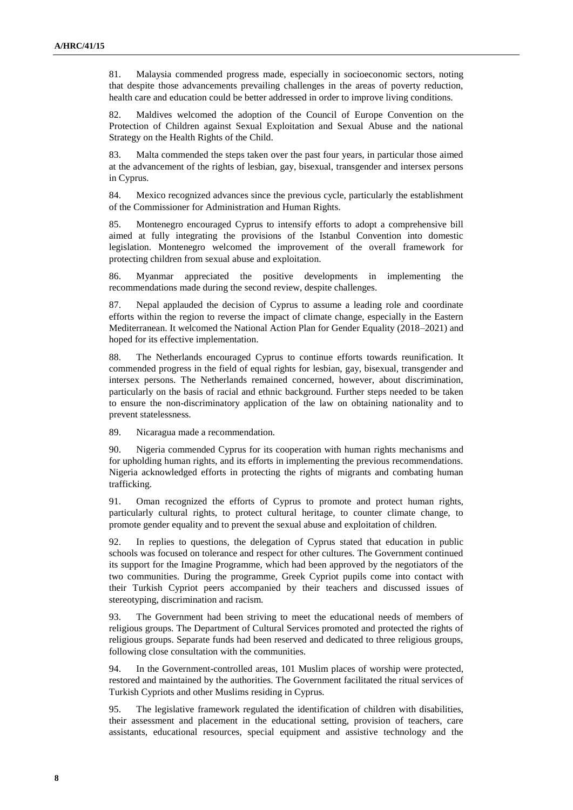81. Malaysia commended progress made, especially in socioeconomic sectors, noting that despite those advancements prevailing challenges in the areas of poverty reduction, health care and education could be better addressed in order to improve living conditions.

82. Maldives welcomed the adoption of the Council of Europe Convention on the Protection of Children against Sexual Exploitation and Sexual Abuse and the national Strategy on the Health Rights of the Child.

83. Malta commended the steps taken over the past four years, in particular those aimed at the advancement of the rights of lesbian, gay, bisexual, transgender and intersex persons in Cyprus.

84. Mexico recognized advances since the previous cycle, particularly the establishment of the Commissioner for Administration and Human Rights.

85. Montenegro encouraged Cyprus to intensify efforts to adopt a comprehensive bill aimed at fully integrating the provisions of the Istanbul Convention into domestic legislation. Montenegro welcomed the improvement of the overall framework for protecting children from sexual abuse and exploitation.

86. Myanmar appreciated the positive developments in implementing the recommendations made during the second review, despite challenges.

87. Nepal applauded the decision of Cyprus to assume a leading role and coordinate efforts within the region to reverse the impact of climate change, especially in the Eastern Mediterranean. It welcomed the National Action Plan for Gender Equality (2018–2021) and hoped for its effective implementation.

88. The Netherlands encouraged Cyprus to continue efforts towards reunification. It commended progress in the field of equal rights for lesbian, gay, bisexual, transgender and intersex persons. The Netherlands remained concerned, however, about discrimination, particularly on the basis of racial and ethnic background. Further steps needed to be taken to ensure the non-discriminatory application of the law on obtaining nationality and to prevent statelessness.

89. Nicaragua made a recommendation.

90. Nigeria commended Cyprus for its cooperation with human rights mechanisms and for upholding human rights, and its efforts in implementing the previous recommendations. Nigeria acknowledged efforts in protecting the rights of migrants and combating human trafficking.

91. Oman recognized the efforts of Cyprus to promote and protect human rights, particularly cultural rights, to protect cultural heritage, to counter climate change, to promote gender equality and to prevent the sexual abuse and exploitation of children.

92. In replies to questions, the delegation of Cyprus stated that education in public schools was focused on tolerance and respect for other cultures. The Government continued its support for the Imagine Programme, which had been approved by the negotiators of the two communities. During the programme, Greek Cypriot pupils come into contact with their Turkish Cypriot peers accompanied by their teachers and discussed issues of stereotyping, discrimination and racism.

93. The Government had been striving to meet the educational needs of members of religious groups. The Department of Cultural Services promoted and protected the rights of religious groups. Separate funds had been reserved and dedicated to three religious groups, following close consultation with the communities.

94. In the Government-controlled areas, 101 Muslim places of worship were protected, restored and maintained by the authorities. The Government facilitated the ritual services of Turkish Cypriots and other Muslims residing in Cyprus.

95. The legislative framework regulated the identification of children with disabilities, their assessment and placement in the educational setting, provision of teachers, care assistants, educational resources, special equipment and assistive technology and the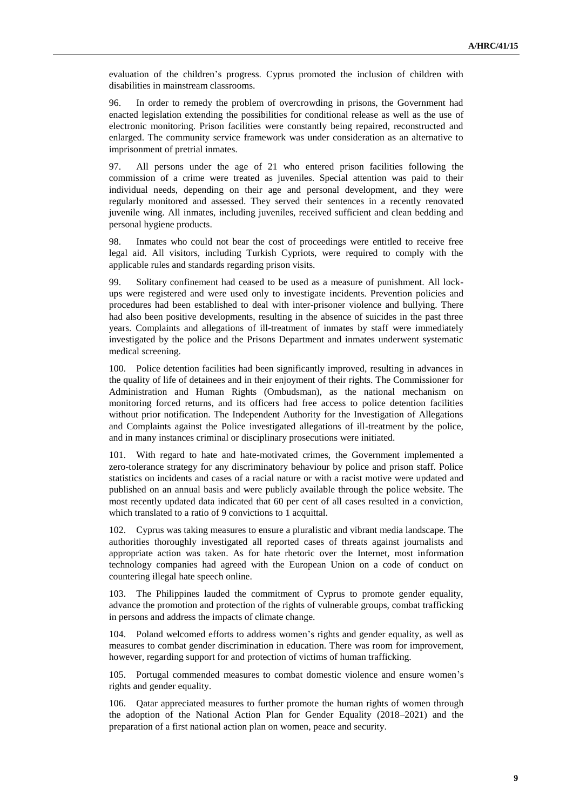evaluation of the children's progress. Cyprus promoted the inclusion of children with disabilities in mainstream classrooms.

96. In order to remedy the problem of overcrowding in prisons, the Government had enacted legislation extending the possibilities for conditional release as well as the use of electronic monitoring. Prison facilities were constantly being repaired, reconstructed and enlarged. The community service framework was under consideration as an alternative to imprisonment of pretrial inmates.

97. All persons under the age of 21 who entered prison facilities following the commission of a crime were treated as juveniles. Special attention was paid to their individual needs, depending on their age and personal development, and they were regularly monitored and assessed. They served their sentences in a recently renovated juvenile wing. All inmates, including juveniles, received sufficient and clean bedding and personal hygiene products.

98. Inmates who could not bear the cost of proceedings were entitled to receive free legal aid. All visitors, including Turkish Cypriots, were required to comply with the applicable rules and standards regarding prison visits.

99. Solitary confinement had ceased to be used as a measure of punishment. All lockups were registered and were used only to investigate incidents. Prevention policies and procedures had been established to deal with inter-prisoner violence and bullying. There had also been positive developments, resulting in the absence of suicides in the past three years. Complaints and allegations of ill-treatment of inmates by staff were immediately investigated by the police and the Prisons Department and inmates underwent systematic medical screening.

100. Police detention facilities had been significantly improved, resulting in advances in the quality of life of detainees and in their enjoyment of their rights. The Commissioner for Administration and Human Rights (Ombudsman), as the national mechanism on monitoring forced returns, and its officers had free access to police detention facilities without prior notification. The Independent Authority for the Investigation of Allegations and Complaints against the Police investigated allegations of ill-treatment by the police, and in many instances criminal or disciplinary prosecutions were initiated.

101. With regard to hate and hate-motivated crimes, the Government implemented a zero-tolerance strategy for any discriminatory behaviour by police and prison staff. Police statistics on incidents and cases of a racial nature or with a racist motive were updated and published on an annual basis and were publicly available through the police website. The most recently updated data indicated that 60 per cent of all cases resulted in a conviction, which translated to a ratio of 9 convictions to 1 acquittal.

102. Cyprus was taking measures to ensure a pluralistic and vibrant media landscape. The authorities thoroughly investigated all reported cases of threats against journalists and appropriate action was taken. As for hate rhetoric over the Internet, most information technology companies had agreed with the European Union on a code of conduct on countering illegal hate speech online.

103. The Philippines lauded the commitment of Cyprus to promote gender equality, advance the promotion and protection of the rights of vulnerable groups, combat trafficking in persons and address the impacts of climate change.

104. Poland welcomed efforts to address women's rights and gender equality, as well as measures to combat gender discrimination in education. There was room for improvement, however, regarding support for and protection of victims of human trafficking.

105. Portugal commended measures to combat domestic violence and ensure women's rights and gender equality.

106. Qatar appreciated measures to further promote the human rights of women through the adoption of the National Action Plan for Gender Equality (2018–2021) and the preparation of a first national action plan on women, peace and security.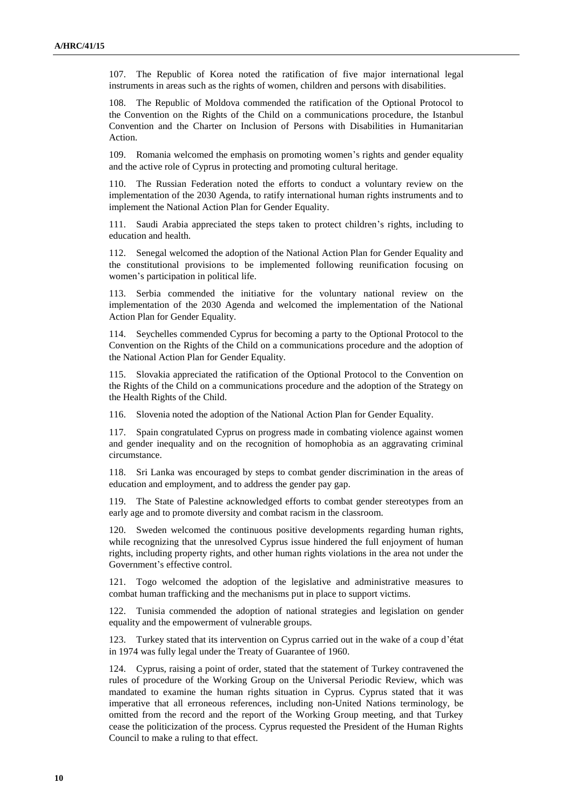107. The Republic of Korea noted the ratification of five major international legal instruments in areas such as the rights of women, children and persons with disabilities.

108. The Republic of Moldova commended the ratification of the Optional Protocol to the Convention on the Rights of the Child on a communications procedure, the Istanbul Convention and the Charter on Inclusion of Persons with Disabilities in Humanitarian Action.

109. Romania welcomed the emphasis on promoting women's rights and gender equality and the active role of Cyprus in protecting and promoting cultural heritage.

110. The Russian Federation noted the efforts to conduct a voluntary review on the implementation of the 2030 Agenda, to ratify international human rights instruments and to implement the National Action Plan for Gender Equality.

111. Saudi Arabia appreciated the steps taken to protect children's rights, including to education and health.

112. Senegal welcomed the adoption of the National Action Plan for Gender Equality and the constitutional provisions to be implemented following reunification focusing on women's participation in political life.

113. Serbia commended the initiative for the voluntary national review on the implementation of the 2030 Agenda and welcomed the implementation of the National Action Plan for Gender Equality.

114. Seychelles commended Cyprus for becoming a party to the Optional Protocol to the Convention on the Rights of the Child on a communications procedure and the adoption of the National Action Plan for Gender Equality.

115. Slovakia appreciated the ratification of the Optional Protocol to the Convention on the Rights of the Child on a communications procedure and the adoption of the Strategy on the Health Rights of the Child.

116. Slovenia noted the adoption of the National Action Plan for Gender Equality.

Spain congratulated Cyprus on progress made in combating violence against women and gender inequality and on the recognition of homophobia as an aggravating criminal circumstance.

118. Sri Lanka was encouraged by steps to combat gender discrimination in the areas of education and employment, and to address the gender pay gap.

119. The State of Palestine acknowledged efforts to combat gender stereotypes from an early age and to promote diversity and combat racism in the classroom.

120. Sweden welcomed the continuous positive developments regarding human rights, while recognizing that the unresolved Cyprus issue hindered the full enjoyment of human rights, including property rights, and other human rights violations in the area not under the Government's effective control.

121. Togo welcomed the adoption of the legislative and administrative measures to combat human trafficking and the mechanisms put in place to support victims.

122. Tunisia commended the adoption of national strategies and legislation on gender equality and the empowerment of vulnerable groups.

123. Turkey stated that its intervention on Cyprus carried out in the wake of a coup d'état in 1974 was fully legal under the Treaty of Guarantee of 1960.

124. Cyprus, raising a point of order, stated that the statement of Turkey contravened the rules of procedure of the Working Group on the Universal Periodic Review, which was mandated to examine the human rights situation in Cyprus. Cyprus stated that it was imperative that all erroneous references, including non-United Nations terminology, be omitted from the record and the report of the Working Group meeting, and that Turkey cease the politicization of the process. Cyprus requested the President of the Human Rights Council to make a ruling to that effect.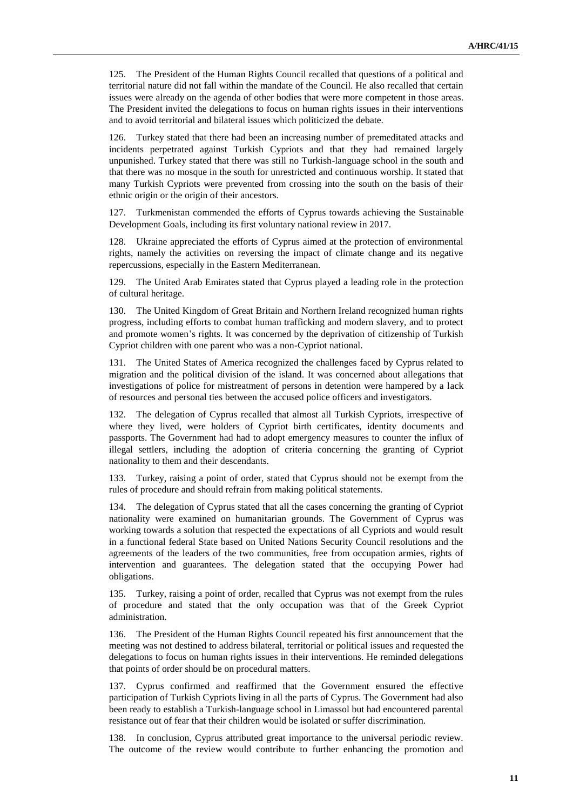125. The President of the Human Rights Council recalled that questions of a political and territorial nature did not fall within the mandate of the Council. He also recalled that certain issues were already on the agenda of other bodies that were more competent in those areas. The President invited the delegations to focus on human rights issues in their interventions and to avoid territorial and bilateral issues which politicized the debate.

126. Turkey stated that there had been an increasing number of premeditated attacks and incidents perpetrated against Turkish Cypriots and that they had remained largely unpunished. Turkey stated that there was still no Turkish-language school in the south and that there was no mosque in the south for unrestricted and continuous worship. It stated that many Turkish Cypriots were prevented from crossing into the south on the basis of their ethnic origin or the origin of their ancestors.

127. Turkmenistan commended the efforts of Cyprus towards achieving the Sustainable Development Goals, including its first voluntary national review in 2017.

128. Ukraine appreciated the efforts of Cyprus aimed at the protection of environmental rights, namely the activities on reversing the impact of climate change and its negative repercussions, especially in the Eastern Mediterranean.

129. The United Arab Emirates stated that Cyprus played a leading role in the protection of cultural heritage.

130. The United Kingdom of Great Britain and Northern Ireland recognized human rights progress, including efforts to combat human trafficking and modern slavery, and to protect and promote women's rights. It was concerned by the deprivation of citizenship of Turkish Cypriot children with one parent who was a non-Cypriot national.

131. The United States of America recognized the challenges faced by Cyprus related to migration and the political division of the island. It was concerned about allegations that investigations of police for mistreatment of persons in detention were hampered by a lack of resources and personal ties between the accused police officers and investigators.

132. The delegation of Cyprus recalled that almost all Turkish Cypriots, irrespective of where they lived, were holders of Cypriot birth certificates, identity documents and passports. The Government had had to adopt emergency measures to counter the influx of illegal settlers, including the adoption of criteria concerning the granting of Cypriot nationality to them and their descendants.

133. Turkey, raising a point of order, stated that Cyprus should not be exempt from the rules of procedure and should refrain from making political statements.

134. The delegation of Cyprus stated that all the cases concerning the granting of Cypriot nationality were examined on humanitarian grounds. The Government of Cyprus was working towards a solution that respected the expectations of all Cypriots and would result in a functional federal State based on United Nations Security Council resolutions and the agreements of the leaders of the two communities, free from occupation armies, rights of intervention and guarantees. The delegation stated that the occupying Power had obligations.

135. Turkey, raising a point of order, recalled that Cyprus was not exempt from the rules of procedure and stated that the only occupation was that of the Greek Cypriot administration.

136. The President of the Human Rights Council repeated his first announcement that the meeting was not destined to address bilateral, territorial or political issues and requested the delegations to focus on human rights issues in their interventions. He reminded delegations that points of order should be on procedural matters.

137. Cyprus confirmed and reaffirmed that the Government ensured the effective participation of Turkish Cypriots living in all the parts of Cyprus. The Government had also been ready to establish a Turkish-language school in Limassol but had encountered parental resistance out of fear that their children would be isolated or suffer discrimination.

138. In conclusion, Cyprus attributed great importance to the universal periodic review. The outcome of the review would contribute to further enhancing the promotion and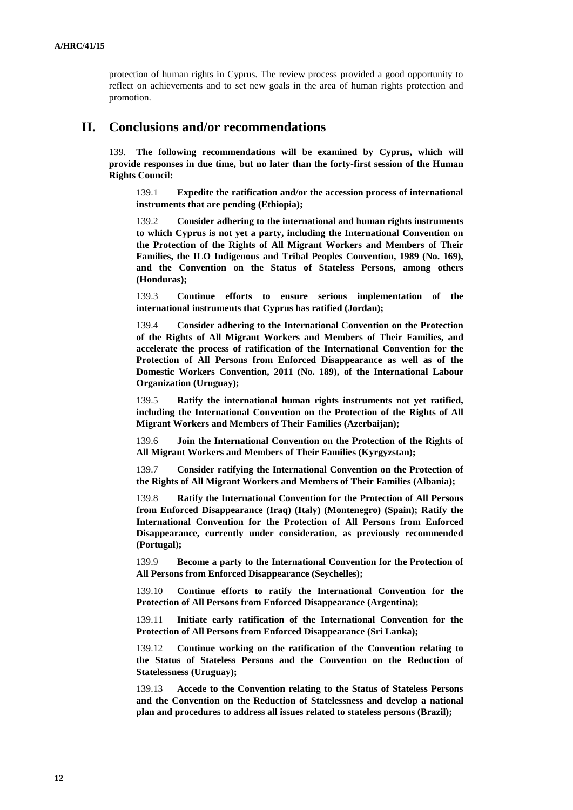protection of human rights in Cyprus. The review process provided a good opportunity to reflect on achievements and to set new goals in the area of human rights protection and promotion.

### **II. Conclusions and/or recommendations**

139. **The following recommendations will be examined by Cyprus, which will provide responses in due time, but no later than the forty-first session of the Human Rights Council:**

139.1 **Expedite the ratification and/or the accession process of international instruments that are pending (Ethiopia);**

139.2 **Consider adhering to the international and human rights instruments to which Cyprus is not yet a party, including the International Convention on the Protection of the Rights of All Migrant Workers and Members of Their Families, the ILO Indigenous and Tribal Peoples Convention, 1989 (No. 169), and the Convention on the Status of Stateless Persons, among others (Honduras);**

139.3 **Continue efforts to ensure serious implementation of the international instruments that Cyprus has ratified (Jordan);**

139.4 **Consider adhering to the International Convention on the Protection of the Rights of All Migrant Workers and Members of Their Families, and accelerate the process of ratification of the International Convention for the Protection of All Persons from Enforced Disappearance as well as of the Domestic Workers Convention, 2011 (No. 189), of the International Labour Organization (Uruguay);**

139.5 **Ratify the international human rights instruments not yet ratified, including the International Convention on the Protection of the Rights of All Migrant Workers and Members of Their Families (Azerbaijan);**

139.6 **Join the International Convention on the Protection of the Rights of All Migrant Workers and Members of Their Families (Kyrgyzstan);**

139.7 **Consider ratifying the International Convention on the Protection of the Rights of All Migrant Workers and Members of Their Families (Albania);**

139.8 **Ratify the International Convention for the Protection of All Persons from Enforced Disappearance (Iraq) (Italy) (Montenegro) (Spain); Ratify the International Convention for the Protection of All Persons from Enforced Disappearance, currently under consideration, as previously recommended (Portugal);**

139.9 **Become a party to the International Convention for the Protection of All Persons from Enforced Disappearance (Seychelles);**

139.10 **Continue efforts to ratify the International Convention for the Protection of All Persons from Enforced Disappearance (Argentina);**

139.11 **Initiate early ratification of the International Convention for the Protection of All Persons from Enforced Disappearance (Sri Lanka);**

139.12 **Continue working on the ratification of the Convention relating to the Status of Stateless Persons and the Convention on the Reduction of Statelessness (Uruguay);**

139.13 **Accede to the Convention relating to the Status of Stateless Persons and the Convention on the Reduction of Statelessness and develop a national plan and procedures to address all issues related to stateless persons (Brazil);**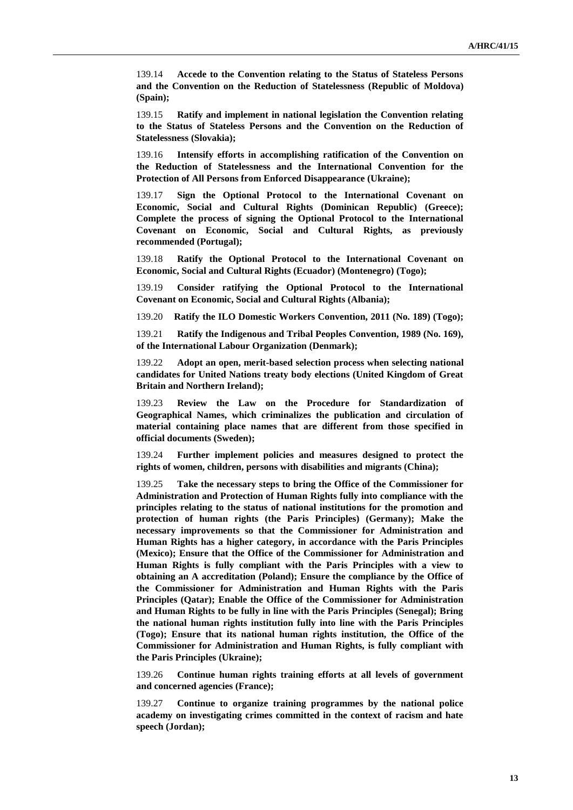139.14 **Accede to the Convention relating to the Status of Stateless Persons and the Convention on the Reduction of Statelessness (Republic of Moldova) (Spain);**

139.15 **Ratify and implement in national legislation the Convention relating to the Status of Stateless Persons and the Convention on the Reduction of Statelessness (Slovakia);**

139.16 **Intensify efforts in accomplishing ratification of the Convention on the Reduction of Statelessness and the International Convention for the Protection of All Persons from Enforced Disappearance (Ukraine);**

139.17 **Sign the Optional Protocol to the International Covenant on Economic, Social and Cultural Rights (Dominican Republic) (Greece); Complete the process of signing the Optional Protocol to the International Covenant on Economic, Social and Cultural Rights, as previously recommended (Portugal);**

139.18 **Ratify the Optional Protocol to the International Covenant on Economic, Social and Cultural Rights (Ecuador) (Montenegro) (Togo);**

139.19 **Consider ratifying the Optional Protocol to the International Covenant on Economic, Social and Cultural Rights (Albania);**

139.20 **Ratify the ILO Domestic Workers Convention, 2011 (No. 189) (Togo);**

139.21 **Ratify the Indigenous and Tribal Peoples Convention, 1989 (No. 169), of the International Labour Organization (Denmark);**

139.22 **Adopt an open, merit-based selection process when selecting national candidates for United Nations treaty body elections (United Kingdom of Great Britain and Northern Ireland);**

139.23 **Review the Law on the Procedure for Standardization of Geographical Names, which criminalizes the publication and circulation of material containing place names that are different from those specified in official documents (Sweden);**

139.24 **Further implement policies and measures designed to protect the rights of women, children, persons with disabilities and migrants (China);**

139.25 **Take the necessary steps to bring the Office of the Commissioner for Administration and Protection of Human Rights fully into compliance with the principles relating to the status of national institutions for the promotion and protection of human rights (the Paris Principles) (Germany); Make the necessary improvements so that the Commissioner for Administration and Human Rights has a higher category, in accordance with the Paris Principles (Mexico); Ensure that the Office of the Commissioner for Administration and Human Rights is fully compliant with the Paris Principles with a view to obtaining an A accreditation (Poland); Ensure the compliance by the Office of the Commissioner for Administration and Human Rights with the Paris Principles (Qatar); Enable the Office of the Commissioner for Administration and Human Rights to be fully in line with the Paris Principles (Senegal); Bring the national human rights institution fully into line with the Paris Principles (Togo); Ensure that its national human rights institution, the Office of the Commissioner for Administration and Human Rights, is fully compliant with the Paris Principles (Ukraine);**

139.26 **Continue human rights training efforts at all levels of government and concerned agencies (France);**

139.27 **Continue to organize training programmes by the national police academy on investigating crimes committed in the context of racism and hate speech (Jordan);**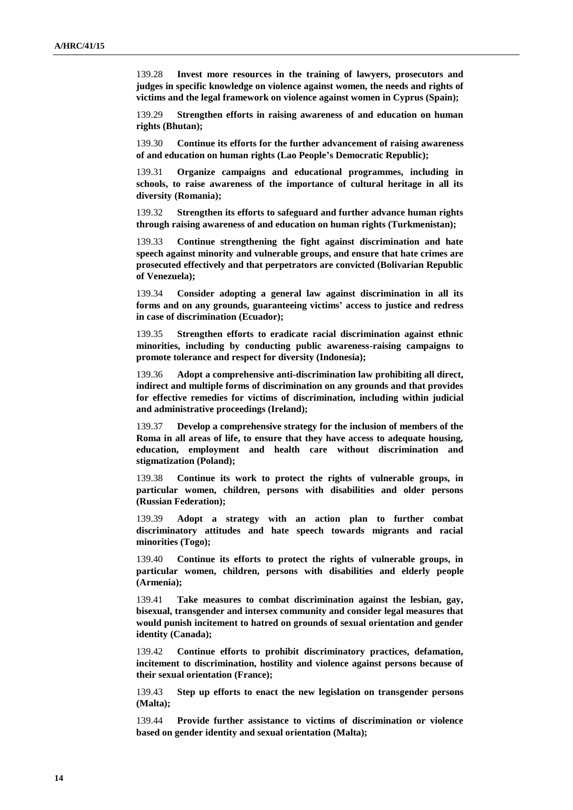139.28 **Invest more resources in the training of lawyers, prosecutors and judges in specific knowledge on violence against women, the needs and rights of victims and the legal framework on violence against women in Cyprus (Spain);**

139.29 **Strengthen efforts in raising awareness of and education on human rights (Bhutan);**

139.30 **Continue its efforts for the further advancement of raising awareness of and education on human rights (Lao People's Democratic Republic);**

139.31 **Organize campaigns and educational programmes, including in schools, to raise awareness of the importance of cultural heritage in all its diversity (Romania);** 

139.32 **Strengthen its efforts to safeguard and further advance human rights through raising awareness of and education on human rights (Turkmenistan);**

139.33 **Continue strengthening the fight against discrimination and hate speech against minority and vulnerable groups, and ensure that hate crimes are prosecuted effectively and that perpetrators are convicted (Bolivarian Republic of Venezuela);**

139.34 **Consider adopting a general law against discrimination in all its forms and on any grounds, guaranteeing victims' access to justice and redress in case of discrimination (Ecuador);**

139.35 **Strengthen efforts to eradicate racial discrimination against ethnic minorities, including by conducting public awareness-raising campaigns to promote tolerance and respect for diversity (Indonesia);**

139.36 **Adopt a comprehensive anti-discrimination law prohibiting all direct, indirect and multiple forms of discrimination on any grounds and that provides for effective remedies for victims of discrimination, including within judicial and administrative proceedings (Ireland);**

139.37 **Develop a comprehensive strategy for the inclusion of members of the Roma in all areas of life, to ensure that they have access to adequate housing, education, employment and health care without discrimination and stigmatization (Poland);**

139.38 **Continue its work to protect the rights of vulnerable groups, in particular women, children, persons with disabilities and older persons (Russian Federation);** 

139.39 **Adopt a strategy with an action plan to further combat discriminatory attitudes and hate speech towards migrants and racial minorities (Togo);**

139.40 **Continue its efforts to protect the rights of vulnerable groups, in particular women, children, persons with disabilities and elderly people (Armenia);**

139.41 **Take measures to combat discrimination against the lesbian, gay, bisexual, transgender and intersex community and consider legal measures that would punish incitement to hatred on grounds of sexual orientation and gender identity (Canada);**

139.42 **Continue efforts to prohibit discriminatory practices, defamation, incitement to discrimination, hostility and violence against persons because of their sexual orientation (France);**

139.43 **Step up efforts to enact the new legislation on transgender persons (Malta);**

139.44 **Provide further assistance to victims of discrimination or violence based on gender identity and sexual orientation (Malta);**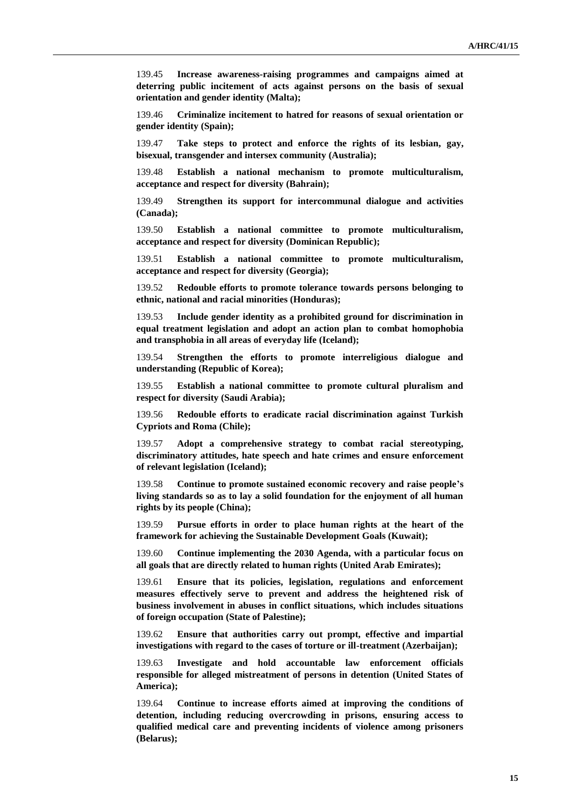139.45 **Increase awareness-raising programmes and campaigns aimed at deterring public incitement of acts against persons on the basis of sexual orientation and gender identity (Malta);**

139.46 **Criminalize incitement to hatred for reasons of sexual orientation or gender identity (Spain);**

139.47 **Take steps to protect and enforce the rights of its lesbian, gay, bisexual, transgender and intersex community (Australia);**

139.48 **Establish a national mechanism to promote multiculturalism, acceptance and respect for diversity (Bahrain);**

139.49 **Strengthen its support for intercommunal dialogue and activities (Canada);**

139.50 **Establish a national committee to promote multiculturalism, acceptance and respect for diversity (Dominican Republic);**

139.51 **Establish a national committee to promote multiculturalism, acceptance and respect for diversity (Georgia);**

139.52 **Redouble efforts to promote tolerance towards persons belonging to ethnic, national and racial minorities (Honduras);**

139.53 **Include gender identity as a prohibited ground for discrimination in equal treatment legislation and adopt an action plan to combat homophobia and transphobia in all areas of everyday life (Iceland);**

139.54 **Strengthen the efforts to promote interreligious dialogue and understanding (Republic of Korea);**

139.55 **Establish a national committee to promote cultural pluralism and respect for diversity (Saudi Arabia);**

139.56 **Redouble efforts to eradicate racial discrimination against Turkish Cypriots and Roma (Chile);**

139.57 **Adopt a comprehensive strategy to combat racial stereotyping, discriminatory attitudes, hate speech and hate crimes and ensure enforcement of relevant legislation (Iceland);**

139.58 **Continue to promote sustained economic recovery and raise people's living standards so as to lay a solid foundation for the enjoyment of all human rights by its people (China);**

139.59 **Pursue efforts in order to place human rights at the heart of the framework for achieving the Sustainable Development Goals (Kuwait);**

139.60 **Continue implementing the 2030 Agenda, with a particular focus on all goals that are directly related to human rights (United Arab Emirates);**

139.61 **Ensure that its policies, legislation, regulations and enforcement measures effectively serve to prevent and address the heightened risk of business involvement in abuses in conflict situations, which includes situations of foreign occupation (State of Palestine);**

139.62 **Ensure that authorities carry out prompt, effective and impartial investigations with regard to the cases of torture or ill-treatment (Azerbaijan);**

139.63 **Investigate and hold accountable law enforcement officials responsible for alleged mistreatment of persons in detention (United States of America);**

139.64 **Continue to increase efforts aimed at improving the conditions of detention, including reducing overcrowding in prisons, ensuring access to qualified medical care and preventing incidents of violence among prisoners (Belarus);**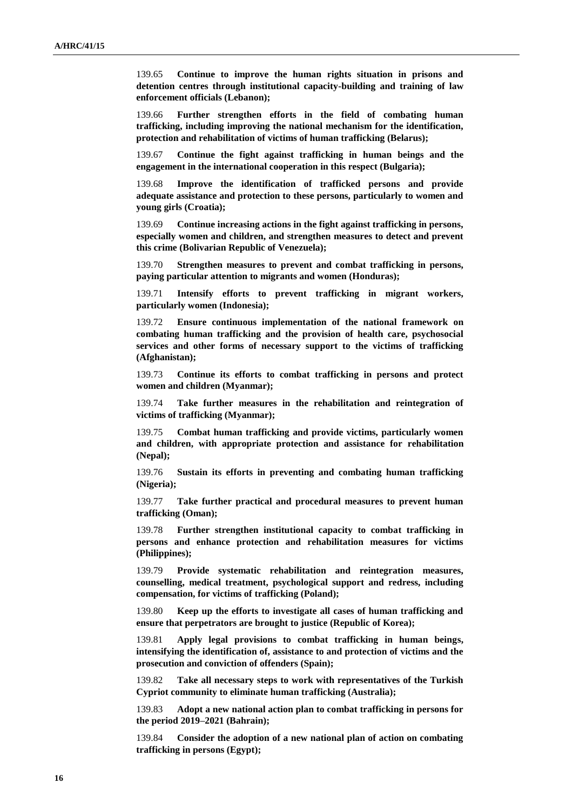139.65 **Continue to improve the human rights situation in prisons and detention centres through institutional capacity-building and training of law enforcement officials (Lebanon);**

139.66 **Further strengthen efforts in the field of combating human trafficking, including improving the national mechanism for the identification, protection and rehabilitation of victims of human trafficking (Belarus);**

139.67 **Continue the fight against trafficking in human beings and the engagement in the international cooperation in this respect (Bulgaria);**

139.68 **Improve the identification of trafficked persons and provide adequate assistance and protection to these persons, particularly to women and young girls (Croatia);**

139.69 **Continue increasing actions in the fight against trafficking in persons, especially women and children, and strengthen measures to detect and prevent this crime (Bolivarian Republic of Venezuela);**

139.70 **Strengthen measures to prevent and combat trafficking in persons, paying particular attention to migrants and women (Honduras);**

139.71 **Intensify efforts to prevent trafficking in migrant workers, particularly women (Indonesia);**

139.72 **Ensure continuous implementation of the national framework on combating human trafficking and the provision of health care, psychosocial services and other forms of necessary support to the victims of trafficking (Afghanistan);**

139.73 **Continue its efforts to combat trafficking in persons and protect women and children (Myanmar);**

139.74 **Take further measures in the rehabilitation and reintegration of victims of trafficking (Myanmar);**

139.75 **Combat human trafficking and provide victims, particularly women and children, with appropriate protection and assistance for rehabilitation (Nepal);**

139.76 **Sustain its efforts in preventing and combating human trafficking (Nigeria);**

139.77 **Take further practical and procedural measures to prevent human trafficking (Oman);**

139.78 **Further strengthen institutional capacity to combat trafficking in persons and enhance protection and rehabilitation measures for victims (Philippines);**

139.79 **Provide systematic rehabilitation and reintegration measures, counselling, medical treatment, psychological support and redress, including compensation, for victims of trafficking (Poland);**

139.80 **Keep up the efforts to investigate all cases of human trafficking and ensure that perpetrators are brought to justice (Republic of Korea);**

139.81 **Apply legal provisions to combat trafficking in human beings, intensifying the identification of, assistance to and protection of victims and the prosecution and conviction of offenders (Spain);**

139.82 **Take all necessary steps to work with representatives of the Turkish Cypriot community to eliminate human trafficking (Australia);**

139.83 **Adopt a new national action plan to combat trafficking in persons for the period 2019–2021 (Bahrain);**

139.84 **Consider the adoption of a new national plan of action on combating trafficking in persons (Egypt);**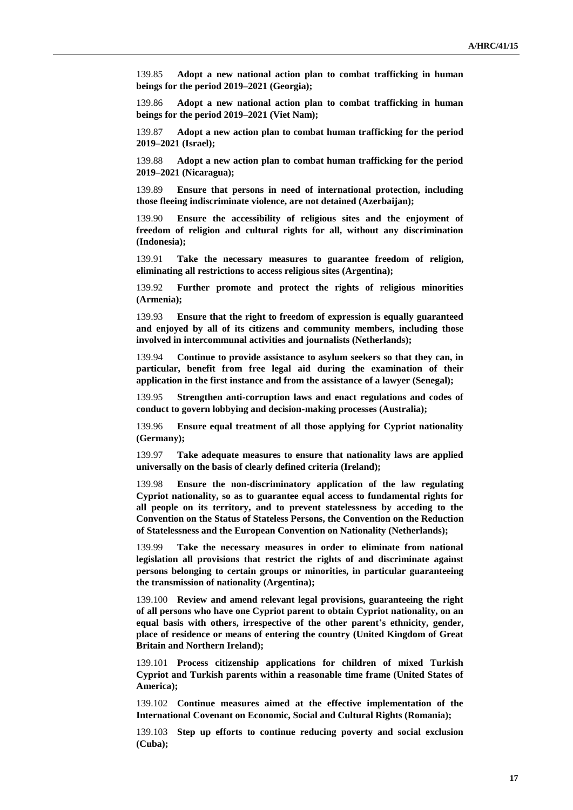139.85 **Adopt a new national action plan to combat trafficking in human beings for the period 2019–2021 (Georgia);**

139.86 **Adopt a new national action plan to combat trafficking in human beings for the period 2019–2021 (Viet Nam);**

139.87 **Adopt a new action plan to combat human trafficking for the period 2019–2021 (Israel);**

139.88 **Adopt a new action plan to combat human trafficking for the period 2019–2021 (Nicaragua);**

139.89 **Ensure that persons in need of international protection, including those fleeing indiscriminate violence, are not detained (Azerbaijan);**

139.90 **Ensure the accessibility of religious sites and the enjoyment of freedom of religion and cultural rights for all, without any discrimination (Indonesia);**

139.91 **Take the necessary measures to guarantee freedom of religion, eliminating all restrictions to access religious sites (Argentina);**

139.92 **Further promote and protect the rights of religious minorities (Armenia);**

139.93 **Ensure that the right to freedom of expression is equally guaranteed and enjoyed by all of its citizens and community members, including those involved in intercommunal activities and journalists (Netherlands);**

139.94 **Continue to provide assistance to asylum seekers so that they can, in particular, benefit from free legal aid during the examination of their application in the first instance and from the assistance of a lawyer (Senegal);** 

139.95 **Strengthen anti-corruption laws and enact regulations and codes of conduct to govern lobbying and decision-making processes (Australia);**

139.96 **Ensure equal treatment of all those applying for Cypriot nationality (Germany);**

139.97 **Take adequate measures to ensure that nationality laws are applied universally on the basis of clearly defined criteria (Ireland);**

139.98 **Ensure the non-discriminatory application of the law regulating Cypriot nationality, so as to guarantee equal access to fundamental rights for all people on its territory, and to prevent statelessness by acceding to the Convention on the Status of Stateless Persons, the Convention on the Reduction of Statelessness and the European Convention on Nationality (Netherlands);**

139.99 **Take the necessary measures in order to eliminate from national legislation all provisions that restrict the rights of and discriminate against persons belonging to certain groups or minorities, in particular guaranteeing the transmission of nationality (Argentina);**

139.100 **Review and amend relevant legal provisions, guaranteeing the right of all persons who have one Cypriot parent to obtain Cypriot nationality, on an equal basis with others, irrespective of the other parent's ethnicity, gender, place of residence or means of entering the country (United Kingdom of Great Britain and Northern Ireland);**

139.101 **Process citizenship applications for children of mixed Turkish Cypriot and Turkish parents within a reasonable time frame (United States of America);**

139.102 **Continue measures aimed at the effective implementation of the International Covenant on Economic, Social and Cultural Rights (Romania);**

139.103 **Step up efforts to continue reducing poverty and social exclusion (Cuba);**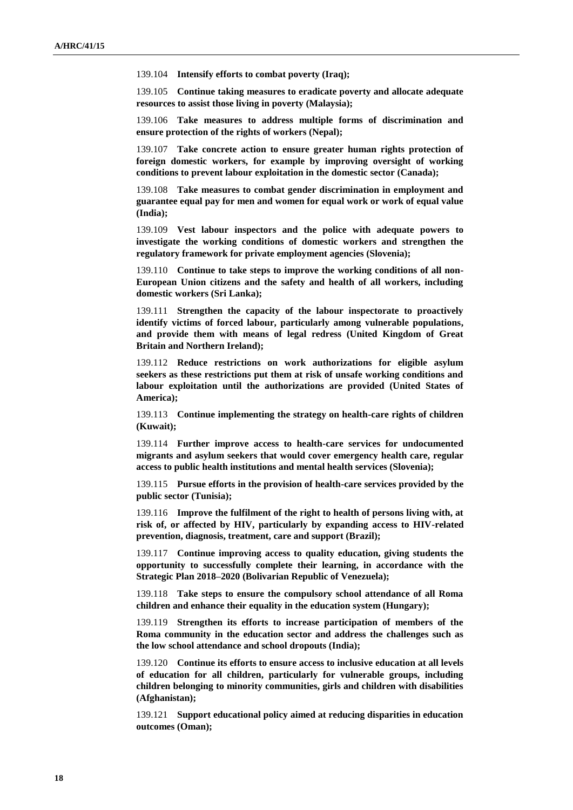139.104 **Intensify efforts to combat poverty (Iraq);**

139.105 **Continue taking measures to eradicate poverty and allocate adequate resources to assist those living in poverty (Malaysia);**

139.106 **Take measures to address multiple forms of discrimination and ensure protection of the rights of workers (Nepal);**

139.107 **Take concrete action to ensure greater human rights protection of foreign domestic workers, for example by improving oversight of working conditions to prevent labour exploitation in the domestic sector (Canada);**

139.108 **Take measures to combat gender discrimination in employment and guarantee equal pay for men and women for equal work or work of equal value (India);**

139.109 **Vest labour inspectors and the police with adequate powers to investigate the working conditions of domestic workers and strengthen the regulatory framework for private employment agencies (Slovenia);**

139.110 **Continue to take steps to improve the working conditions of all non-European Union citizens and the safety and health of all workers, including domestic workers (Sri Lanka);**

139.111 **Strengthen the capacity of the labour inspectorate to proactively identify victims of forced labour, particularly among vulnerable populations, and provide them with means of legal redress (United Kingdom of Great Britain and Northern Ireland);**

139.112 **Reduce restrictions on work authorizations for eligible asylum seekers as these restrictions put them at risk of unsafe working conditions and labour exploitation until the authorizations are provided (United States of America);**

139.113 **Continue implementing the strategy on health-care rights of children (Kuwait);**

139.114 **Further improve access to health-care services for undocumented migrants and asylum seekers that would cover emergency health care, regular access to public health institutions and mental health services (Slovenia);**

139.115 **Pursue efforts in the provision of health-care services provided by the public sector (Tunisia);**

139.116 **Improve the fulfilment of the right to health of persons living with, at risk of, or affected by HIV, particularly by expanding access to HIV-related prevention, diagnosis, treatment, care and support (Brazil);**

139.117 **Continue improving access to quality education, giving students the opportunity to successfully complete their learning, in accordance with the Strategic Plan 2018–2020 (Bolivarian Republic of Venezuela);**

139.118 **Take steps to ensure the compulsory school attendance of all Roma children and enhance their equality in the education system (Hungary);**

139.119 **Strengthen its efforts to increase participation of members of the Roma community in the education sector and address the challenges such as the low school attendance and school dropouts (India);**

139.120 **Continue its efforts to ensure access to inclusive education at all levels of education for all children, particularly for vulnerable groups, including children belonging to minority communities, girls and children with disabilities (Afghanistan);**

139.121 **Support educational policy aimed at reducing disparities in education outcomes (Oman);**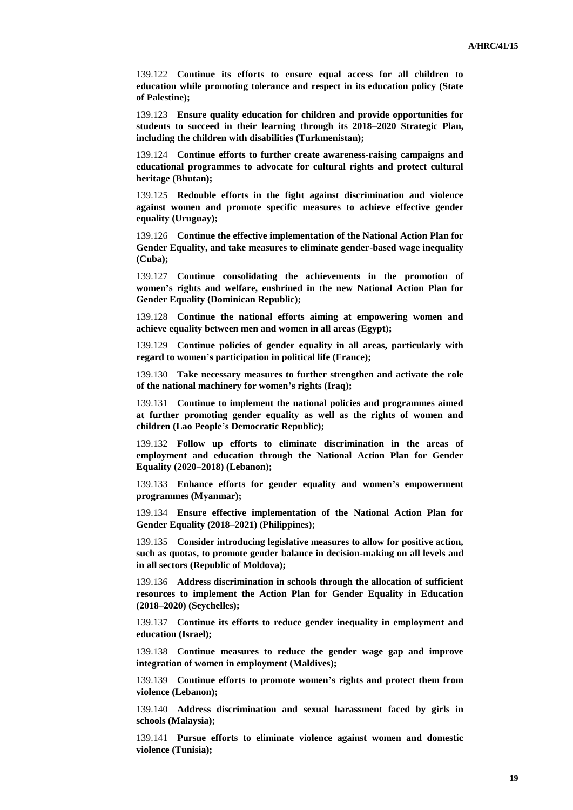139.122 **Continue its efforts to ensure equal access for all children to education while promoting tolerance and respect in its education policy (State of Palestine);**

139.123 **Ensure quality education for children and provide opportunities for students to succeed in their learning through its 2018–2020 Strategic Plan, including the children with disabilities (Turkmenistan);**

139.124 **Continue efforts to further create awareness-raising campaigns and educational programmes to advocate for cultural rights and protect cultural heritage (Bhutan);**

139.125 **Redouble efforts in the fight against discrimination and violence against women and promote specific measures to achieve effective gender equality (Uruguay);**

139.126 **Continue the effective implementation of the National Action Plan for Gender Equality, and take measures to eliminate gender-based wage inequality (Cuba);**

139.127 **Continue consolidating the achievements in the promotion of women's rights and welfare, enshrined in the new National Action Plan for Gender Equality (Dominican Republic);**

139.128 **Continue the national efforts aiming at empowering women and achieve equality between men and women in all areas (Egypt);**

139.129 **Continue policies of gender equality in all areas, particularly with regard to women's participation in political life (France);**

139.130 **Take necessary measures to further strengthen and activate the role of the national machinery for women's rights (Iraq);**

139.131 **Continue to implement the national policies and programmes aimed at further promoting gender equality as well as the rights of women and children (Lao People's Democratic Republic);**

139.132 **Follow up efforts to eliminate discrimination in the areas of employment and education through the National Action Plan for Gender Equality (2020–2018) (Lebanon);**

139.133 **Enhance efforts for gender equality and women's empowerment programmes (Myanmar);**

139.134 **Ensure effective implementation of the National Action Plan for Gender Equality (2018–2021) (Philippines);**

139.135 **Consider introducing legislative measures to allow for positive action, such as quotas, to promote gender balance in decision-making on all levels and in all sectors (Republic of Moldova);**

139.136 **Address discrimination in schools through the allocation of sufficient resources to implement the Action Plan for Gender Equality in Education (2018–2020) (Seychelles);**

139.137 **Continue its efforts to reduce gender inequality in employment and education (Israel);**

139.138 **Continue measures to reduce the gender wage gap and improve integration of women in employment (Maldives);**

139.139 **Continue efforts to promote women's rights and protect them from violence (Lebanon);**

139.140 **Address discrimination and sexual harassment faced by girls in schools (Malaysia);**

139.141 **Pursue efforts to eliminate violence against women and domestic violence (Tunisia);**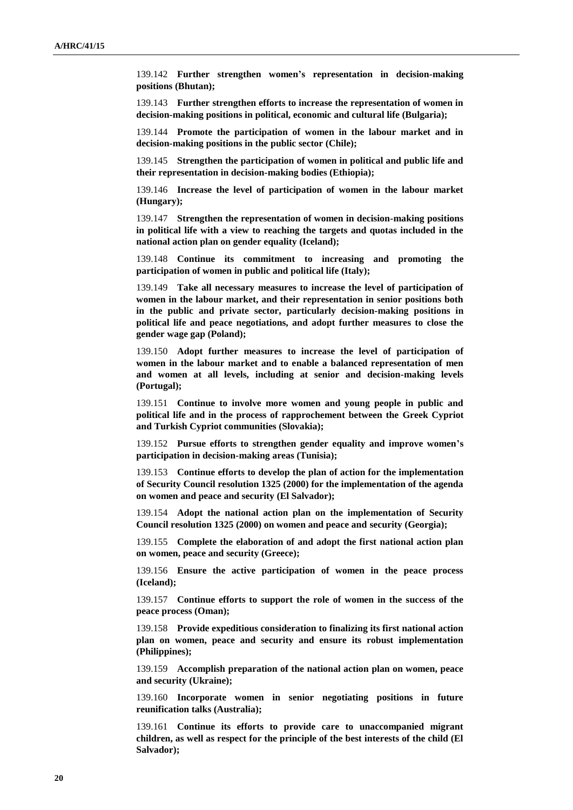139.142 **Further strengthen women's representation in decision-making positions (Bhutan);**

139.143 **Further strengthen efforts to increase the representation of women in decision-making positions in political, economic and cultural life (Bulgaria);**

139.144 **Promote the participation of women in the labour market and in decision-making positions in the public sector (Chile);**

139.145 **Strengthen the participation of women in political and public life and their representation in decision-making bodies (Ethiopia);**

139.146 **Increase the level of participation of women in the labour market (Hungary);**

139.147 **Strengthen the representation of women in decision-making positions in political life with a view to reaching the targets and quotas included in the national action plan on gender equality (Iceland);**

139.148 **Continue its commitment to increasing and promoting the participation of women in public and political life (Italy);**

139.149 **Take all necessary measures to increase the level of participation of women in the labour market, and their representation in senior positions both in the public and private sector, particularly decision-making positions in political life and peace negotiations, and adopt further measures to close the gender wage gap (Poland);**

139.150 **Adopt further measures to increase the level of participation of women in the labour market and to enable a balanced representation of men and women at all levels, including at senior and decision-making levels (Portugal);**

139.151 **Continue to involve more women and young people in public and political life and in the process of rapprochement between the Greek Cypriot and Turkish Cypriot communities (Slovakia);**

139.152 **Pursue efforts to strengthen gender equality and improve women's participation in decision-making areas (Tunisia);**

139.153 **Continue efforts to develop the plan of action for the implementation of Security Council resolution 1325 (2000) for the implementation of the agenda on women and peace and security (El Salvador);**

139.154 **Adopt the national action plan on the implementation of Security Council resolution 1325 (2000) on women and peace and security (Georgia);**

139.155 **Complete the elaboration of and adopt the first national action plan on women, peace and security (Greece);**

139.156 **Ensure the active participation of women in the peace process (Iceland);**

139.157 **Continue efforts to support the role of women in the success of the peace process (Oman);**

139.158 **Provide expeditious consideration to finalizing its first national action plan on women, peace and security and ensure its robust implementation (Philippines);**

139.159 **Accomplish preparation of the national action plan on women, peace and security (Ukraine);**

139.160 **Incorporate women in senior negotiating positions in future reunification talks (Australia);**

139.161 **Continue its efforts to provide care to unaccompanied migrant children, as well as respect for the principle of the best interests of the child (El Salvador);**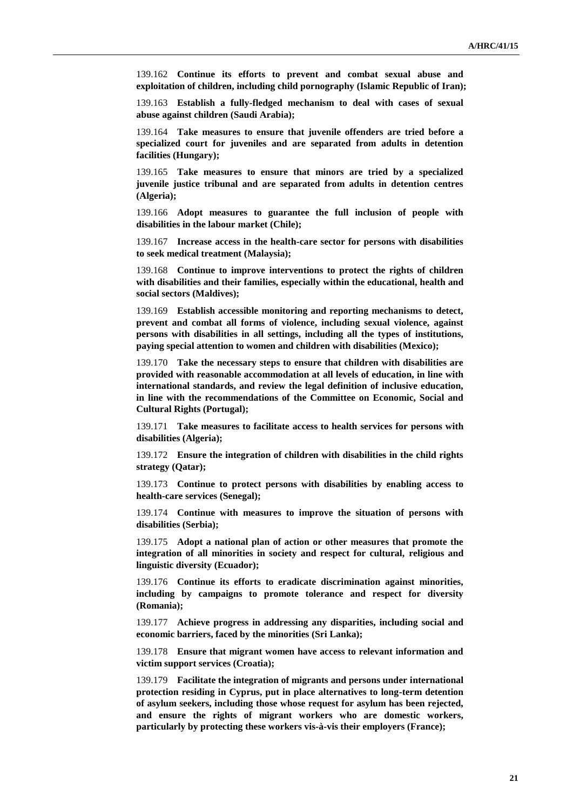139.162 **Continue its efforts to prevent and combat sexual abuse and exploitation of children, including child pornography (Islamic Republic of Iran);**

139.163 **Establish a fully-fledged mechanism to deal with cases of sexual abuse against children (Saudi Arabia);**

139.164 **Take measures to ensure that juvenile offenders are tried before a specialized court for juveniles and are separated from adults in detention facilities (Hungary);**

139.165 **Take measures to ensure that minors are tried by a specialized juvenile justice tribunal and are separated from adults in detention centres (Algeria);**

139.166 **Adopt measures to guarantee the full inclusion of people with disabilities in the labour market (Chile);**

139.167 **Increase access in the health-care sector for persons with disabilities to seek medical treatment (Malaysia);**

139.168 **Continue to improve interventions to protect the rights of children with disabilities and their families, especially within the educational, health and social sectors (Maldives);**

139.169 **Establish accessible monitoring and reporting mechanisms to detect, prevent and combat all forms of violence, including sexual violence, against persons with disabilities in all settings, including all the types of institutions, paying special attention to women and children with disabilities (Mexico);**

139.170 **Take the necessary steps to ensure that children with disabilities are provided with reasonable accommodation at all levels of education, in line with international standards, and review the legal definition of inclusive education, in line with the recommendations of the Committee on Economic, Social and Cultural Rights (Portugal);**

139.171 **Take measures to facilitate access to health services for persons with disabilities (Algeria);**

139.172 **Ensure the integration of children with disabilities in the child rights strategy (Qatar);**

139.173 **Continue to protect persons with disabilities by enabling access to health-care services (Senegal);**

139.174 **Continue with measures to improve the situation of persons with disabilities (Serbia);**

139.175 **Adopt a national plan of action or other measures that promote the integration of all minorities in society and respect for cultural, religious and linguistic diversity (Ecuador);**

139.176 **Continue its efforts to eradicate discrimination against minorities, including by campaigns to promote tolerance and respect for diversity (Romania);**

139.177 **Achieve progress in addressing any disparities, including social and economic barriers, faced by the minorities (Sri Lanka);**

139.178 **Ensure that migrant women have access to relevant information and victim support services (Croatia);**

139.179 **Facilitate the integration of migrants and persons under international protection residing in Cyprus, put in place alternatives to long-term detention of asylum seekers, including those whose request for asylum has been rejected, and ensure the rights of migrant workers who are domestic workers, particularly by protecting these workers vis-à-vis their employers (France);**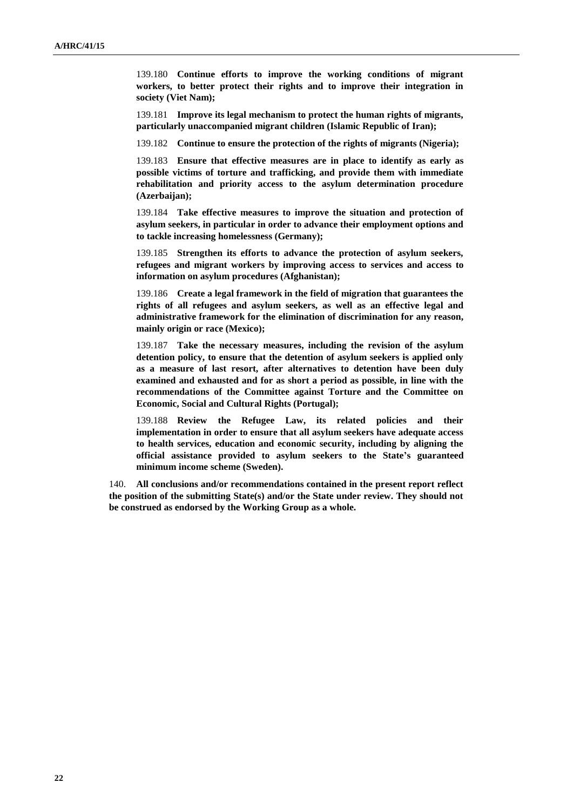139.180 **Continue efforts to improve the working conditions of migrant workers, to better protect their rights and to improve their integration in society (Viet Nam);**

139.181 **Improve its legal mechanism to protect the human rights of migrants, particularly unaccompanied migrant children (Islamic Republic of Iran);**

139.182 **Continue to ensure the protection of the rights of migrants (Nigeria);**

139.183 **Ensure that effective measures are in place to identify as early as possible victims of torture and trafficking, and provide them with immediate rehabilitation and priority access to the asylum determination procedure (Azerbaijan);**

139.184 **Take effective measures to improve the situation and protection of asylum seekers, in particular in order to advance their employment options and to tackle increasing homelessness (Germany);**

139.185 **Strengthen its efforts to advance the protection of asylum seekers, refugees and migrant workers by improving access to services and access to information on asylum procedures (Afghanistan);**

139.186 **Create a legal framework in the field of migration that guarantees the rights of all refugees and asylum seekers, as well as an effective legal and administrative framework for the elimination of discrimination for any reason, mainly origin or race (Mexico);**

139.187 **Take the necessary measures, including the revision of the asylum detention policy, to ensure that the detention of asylum seekers is applied only as a measure of last resort, after alternatives to detention have been duly examined and exhausted and for as short a period as possible, in line with the recommendations of the Committee against Torture and the Committee on Economic, Social and Cultural Rights (Portugal);**

139.188 **Review the Refugee Law, its related policies and their implementation in order to ensure that all asylum seekers have adequate access to health services, education and economic security, including by aligning the official assistance provided to asylum seekers to the State's guaranteed minimum income scheme (Sweden).**

140. **All conclusions and/or recommendations contained in the present report reflect the position of the submitting State(s) and/or the State under review. They should not be construed as endorsed by the Working Group as a whole.**